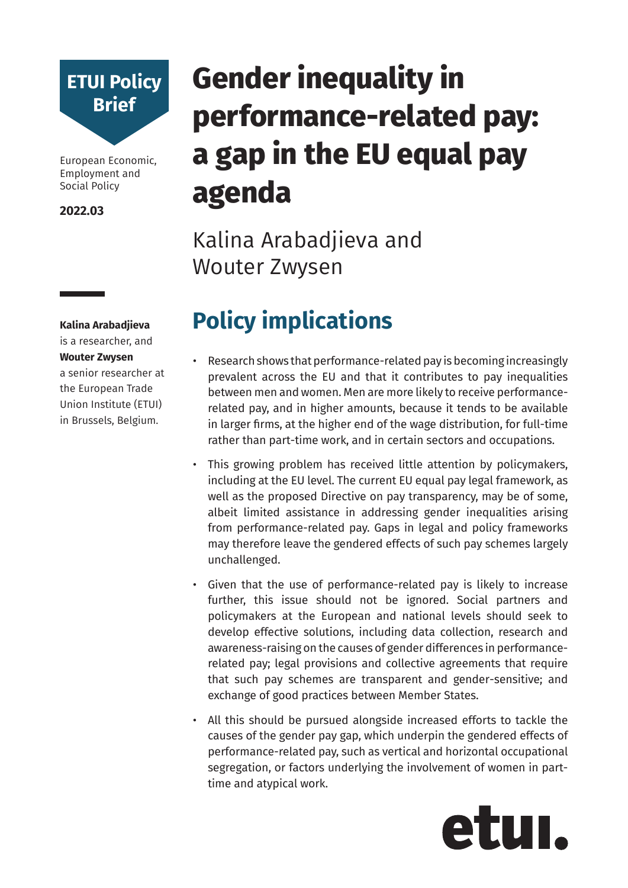

European Economic, Employment and Social Policy

**2022.03**

**Kalina Arabadjieva**  is a researcher, and **Wouter Zwysen**  a senior researcher at

the European Trade Union Institute (ETUI) in Brussels, Belgium.

# **Gender inequality in performance-related pay: a gap in the EU equal pay agenda**

Kalina Arabadjieva and Wouter Zwysen

## **Policy implications**

- Research shows that performance-related pay is becoming increasingly prevalent across the EU and that it contributes to pay inequalities between men and women. Men are more likely to receive performancerelated pay, and in higher amounts, because it tends to be available in larger firms, at the higher end of the wage distribution, for full-time rather than part-time work, and in certain sectors and occupations.
- This growing problem has received little attention by policymakers, including at the EU level. The current EU equal pay legal framework, as well as the proposed Directive on pay transparency, may be of some, albeit limited assistance in addressing gender inequalities arising from performance-related pay. Gaps in legal and policy frameworks may therefore leave the gendered effects of such pay schemes largely unchallenged.
- Given that the use of performance-related pay is likely to increase further, this issue should not be ignored. Social partners and policymakers at the European and national levels should seek to develop effective solutions, including data collection, research and awareness-raising on the causes of gender differences in performancerelated pay; legal provisions and collective agreements that require that such pay schemes are transparent and gender-sensitive; and exchange of good practices between Member States.
- All this should be pursued alongside increased efforts to tackle the causes of the gender pay gap, which underpin the gendered effects of performance-related pay, such as vertical and horizontal occupational segregation, or factors underlying the involvement of women in parttime and atypical work.

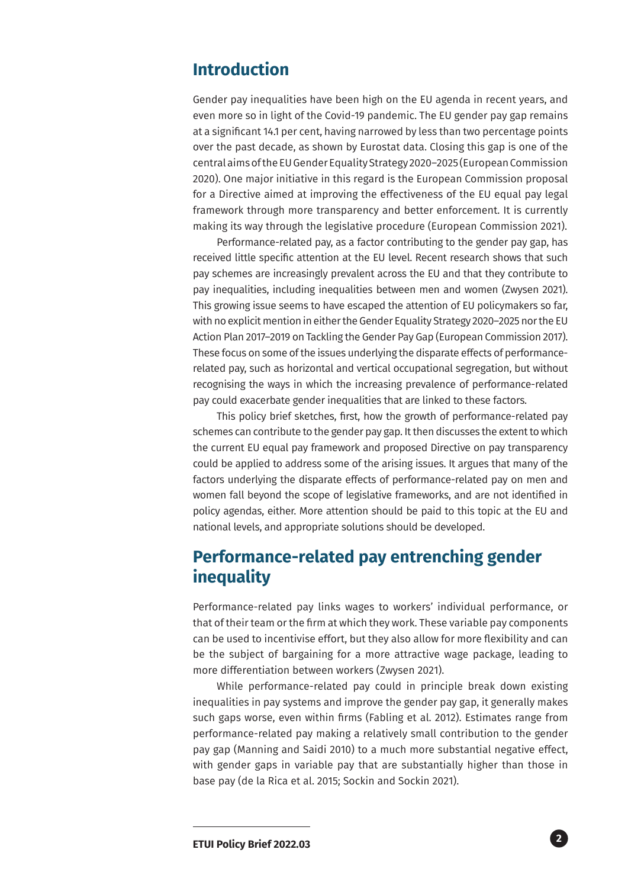#### **Introduction**

Gender pay inequalities have been high on the EU agenda in recent years, and even more so in light of the Covid-19 pandemic. The EU gender pay gap remains at a significant 14.1 per cent, having narrowed by less than two percentage points over the past decade, as shown by Eurostat data. Closing this gap is one of the central aims of the EU Gender Equality Strategy 2020–2025 (European Commission 2020). One major initiative in this regard is the European Commission proposal for a Directive aimed at improving the effectiveness of the EU equal pay legal framework through more transparency and better enforcement. It is currently making its way through the legislative procedure (European Commission 2021).

Performance-related pay, as a factor contributing to the gender pay gap, has received little specific attention at the EU level. Recent research shows that such pay schemes are increasingly prevalent across the EU and that they contribute to pay inequalities, including inequalities between men and women (Zwysen 2021). This growing issue seems to have escaped the attention of EU policymakers so far, with no explicit mention in either the Gender Equality Strategy 2020–2025 nor the EU Action Plan 2017–2019 on Tackling the Gender Pay Gap (European Commission 2017). These focus on some of the issues underlying the disparate effects of performancerelated pay, such as horizontal and vertical occupational segregation, but without recognising the ways in which the increasing prevalence of performance-related pay could exacerbate gender inequalities that are linked to these factors.

This policy brief sketches, first, how the growth of performance-related pay schemes can contribute to the gender pay gap. It then discusses the extent to which the current EU equal pay framework and proposed Directive on pay transparency could be applied to address some of the arising issues. It argues that many of the factors underlying the disparate effects of performance-related pay on men and women fall beyond the scope of legislative frameworks, and are not identified in policy agendas, either. More attention should be paid to this topic at the EU and national levels, and appropriate solutions should be developed.

### **Performance-related pay entrenching gender inequality**

Performance-related pay links wages to workers' individual performance, or that of their team or the firm at which they work. These variable pay components can be used to incentivise effort, but they also allow for more flexibility and can be the subject of bargaining for a more attractive wage package, leading to more differentiation between workers (Zwysen 2021).

While performance-related pay could in principle break down existing inequalities in pay systems and improve the gender pay gap, it generally makes such gaps worse, even within firms (Fabling et al. 2012). Estimates range from performance-related pay making a relatively small contribution to the gender pay gap (Manning and Saidi 2010) to a much more substantial negative effect, with gender gaps in variable pay that are substantially higher than those in base pay (de la Rica et al. 2015; Sockin and Sockin 2021).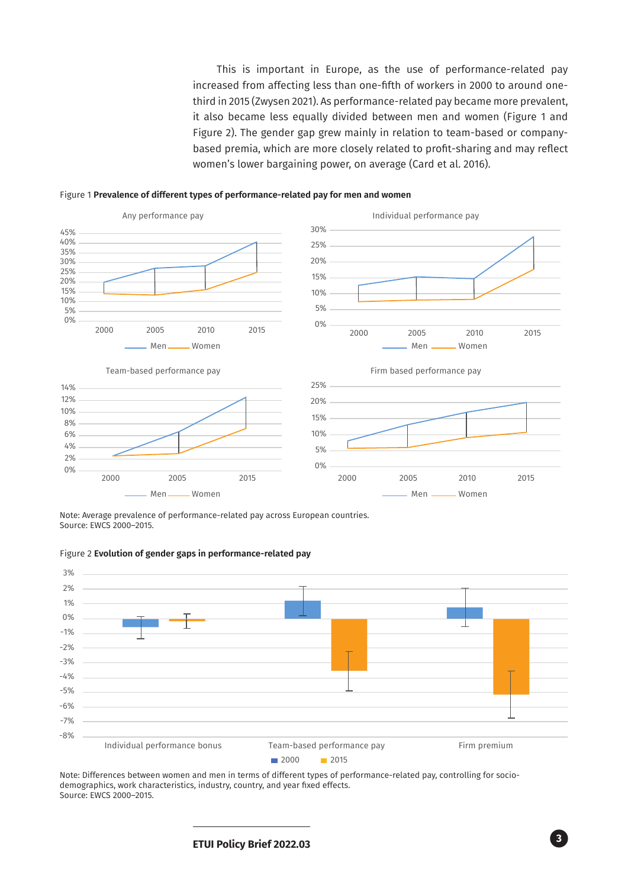This is important in Europe, as the use of performance-related pay increased from affecting less than one-fifth of workers in 2000 to around onethird in 2015 (Zwysen 2021). As performance-related pay became more prevalent, it also became less equally divided between men and women (Figure 1 and Figure 2). The gender gap grew mainly in relation to team-based or companybased premia, which are more closely related to profit-sharing and may reflect women's lower bargaining power, on average (Card et al. 2016).





Note: Average prevalence of performance-related pay across European countries. Source: EWCS 2000–2015.



Figure 2 **Evolution of gender gaps in performance-related pay** 

Note: Differences between women and men in terms of different types of performance-related pay, controlling for sociodemographics, work characteristics, industry, country, and year fixed effects. Source: EWCS 2000–2015.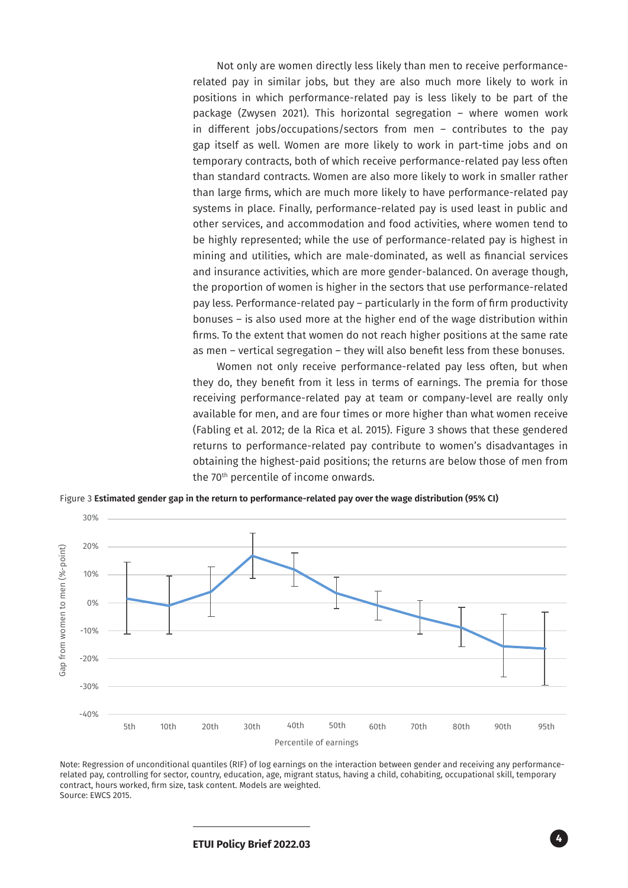Not only are women directly less likely than men to receive performancerelated pay in similar jobs, but they are also much more likely to work in positions in which performance-related pay is less likely to be part of the package (Zwysen 2021). This horizontal segregation – where women work in different jobs/occupations/sectors from men – contributes to the pay gap itself as well. Women are more likely to work in part-time jobs and on temporary contracts, both of which receive performance-related pay less often than standard contracts. Women are also more likely to work in smaller rather than large firms, which are much more likely to have performance-related pay systems in place. Finally, performance-related pay is used least in public and other services, and accommodation and food activities, where women tend to be highly represented; while the use of performance-related pay is highest in mining and utilities, which are male-dominated, as well as financial services and insurance activities, which are more gender-balanced. On average though, the proportion of women is higher in the sectors that use performance-related pay less. Performance-related pay – particularly in the form of firm productivity bonuses – is also used more at the higher end of the wage distribution within firms. To the extent that women do not reach higher positions at the same rate as men – vertical segregation – they will also benefit less from these bonuses.

Women not only receive performance-related pay less often, but when they do, they benefit from it less in terms of earnings. The premia for those receiving performance-related pay at team or company-level are really only available for men, and are four times or more higher than what women receive (Fabling et al. 2012; de la Rica et al. 2015). Figure 3 shows that these gendered returns to performance-related pay contribute to women's disadvantages in obtaining the highest-paid positions; the returns are below those of men from the 70th percentile of income onwards.

Figure 3 **Estimated gender gap in the return to performance-related pay over the wage distribution (95% CI)**



Note: Regression of unconditional quantiles (RIF) of log earnings on the interaction between gender and receiving any performancerelated pay, controlling for sector, country, education, age, migrant status, having a child, cohabiting, occupational skill, temporary contract, hours worked, firm size, task content. Models are weighted. Source: EWCS 2015.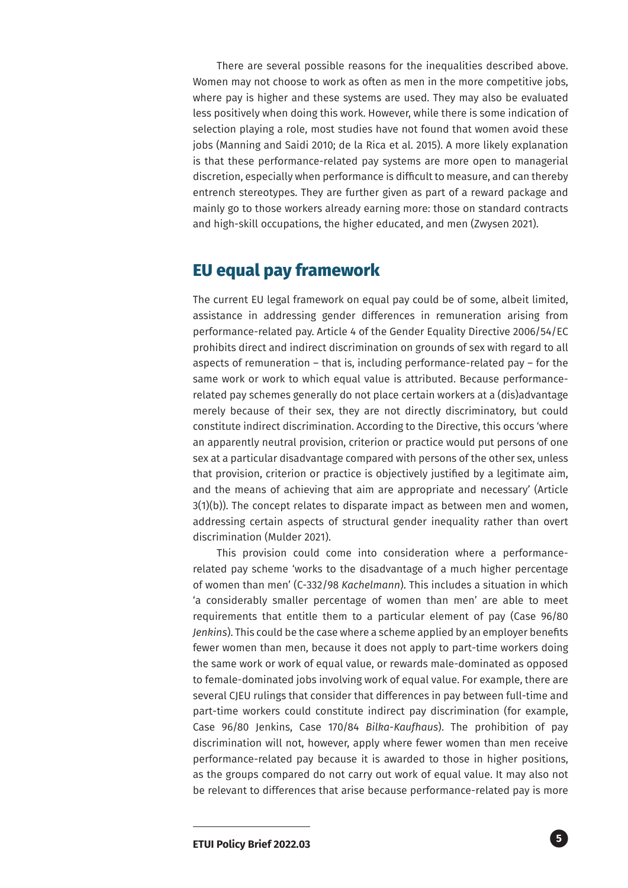There are several possible reasons for the inequalities described above. Women may not choose to work as often as men in the more competitive jobs, where pay is higher and these systems are used. They may also be evaluated less positively when doing this work. However, while there is some indication of selection playing a role, most studies have not found that women avoid these jobs (Manning and Saidi 2010; de la Rica et al. 2015). A more likely explanation is that these performance-related pay systems are more open to managerial discretion, especially when performance is difficult to measure, and can thereby entrench stereotypes. They are further given as part of a reward package and mainly go to those workers already earning more: those on standard contracts and high-skill occupations, the higher educated, and men (Zwysen 2021).

#### **EU equal pay framework**

The current EU legal framework on equal pay could be of some, albeit limited, assistance in addressing gender differences in remuneration arising from performance-related pay. Article 4 of the Gender Equality Directive 2006/54/EC prohibits direct and indirect discrimination on grounds of sex with regard to all aspects of remuneration – that is, including performance-related pay – for the same work or work to which equal value is attributed. Because performancerelated pay schemes generally do not place certain workers at a (dis)advantage merely because of their sex, they are not directly discriminatory, but could constitute indirect discrimination. According to the Directive, this occurs 'where an apparently neutral provision, criterion or practice would put persons of one sex at a particular disadvantage compared with persons of the other sex, unless that provision, criterion or practice is objectively justified by a legitimate aim, and the means of achieving that aim are appropriate and necessary' (Article  $3(1)(b)$ ). The concept relates to disparate impact as between men and women, addressing certain aspects of structural gender inequality rather than overt discrimination (Mulder 2021).

This provision could come into consideration where a performancerelated pay scheme 'works to the disadvantage of a much higher percentage of women than men' (C-332/98 *Kachelmann*). This includes a situation in which 'a considerably smaller percentage of women than men' are able to meet requirements that entitle them to a particular element of pay (Case 96/80 *Jenkins*). This could be the case where a scheme applied by an employer benefits fewer women than men, because it does not apply to part-time workers doing the same work or work of equal value, or rewards male-dominated as opposed to female-dominated jobs involving work of equal value. For example, there are several CJEU rulings that consider that differences in pay between full-time and part-time workers could constitute indirect pay discrimination (for example, Case 96/80 Jenkins, Case 170/84 *Bilka-Kaufhaus*). The prohibition of pay discrimination will not, however, apply where fewer women than men receive performance-related pay because it is awarded to those in higher positions, as the groups compared do not carry out work of equal value. It may also not be relevant to differences that arise because performance-related pay is more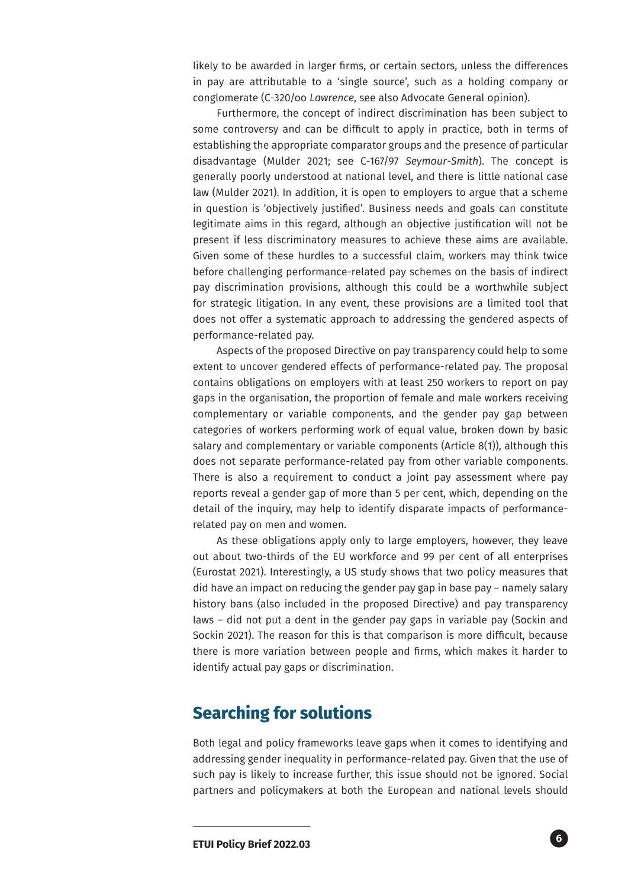likely to be awarded in larger firms, or certain sectors, unless the differences in pay are attributable to a 'single source', such as a holding company or conglomerate (C-320/oo *Lawrence*, see also Advocate General opinion).

Furthermore, the concept of indirect discrimination has been subject to some controversy and can be difficult to apply in practice, both in terms of establishing the appropriate comparator groups and the presence of particular disadvantage (Mulder 2021; see C-167/97 *Seymour-Smith*). The concept is generally poorly understood at national level, and there is little national case law (Mulder 2021). In addition, it is open to employers to argue that a scheme in question is 'objectively justified'. Business needs and goals can constitute legitimate aims in this regard, although an objective justification will not be present if less discriminatory measures to achieve these aims are available. Given some of these hurdles to a successful claim, workers may think twice before challenging performance-related pay schemes on the basis of indirect pay discrimination provisions, although this could be a worthwhile subject for strategic litigation. In any event, these provisions are a limited tool that does not offer a systematic approach to addressing the gendered aspects of performance-related pay.

Aspects of the proposed Directive on pay transparency could help to some extent to uncover gendered effects of performance-related pay. The proposal contains obligations on employers with at least 250 workers to report on pay gaps in the organisation, the proportion of female and male workers receiving complementary or variable components, and the gender pay gap between categories of workers performing work of equal value, broken down by basic salary and complementary or variable components (Article 8(1)), although this does not separate performance-related pay from other variable components. There is also a requirement to conduct a joint pay assessment where pay reports reveal a gender gap of more than 5 per cent, which, depending on the detail of the inquiry, may help to identify disparate impacts of performancerelated pay on men and women.

As these obligations apply only to large employers, however, they leave out about two-thirds of the EU workforce and 99 per cent of all enterprises (Eurostat 2021). Interestingly, a US study shows that two policy measures that did have an impact on reducing the gender pay gap in base pay – namely salary history bans (also included in the proposed Directive) and pay transparency laws – did not put a dent in the gender pay gaps in variable pay (Sockin and Sockin 2021). The reason for this is that comparison is more difficult, because there is more variation between people and firms, which makes it harder to identify actual pay gaps or discrimination.

### **Searching for solutions**

Both legal and policy frameworks leave gaps when it comes to identifying and addressing gender inequality in performance-related pay. Given that the use of such pay is likely to increase further, this issue should not be ignored. Social partners and policymakers at both the European and national levels should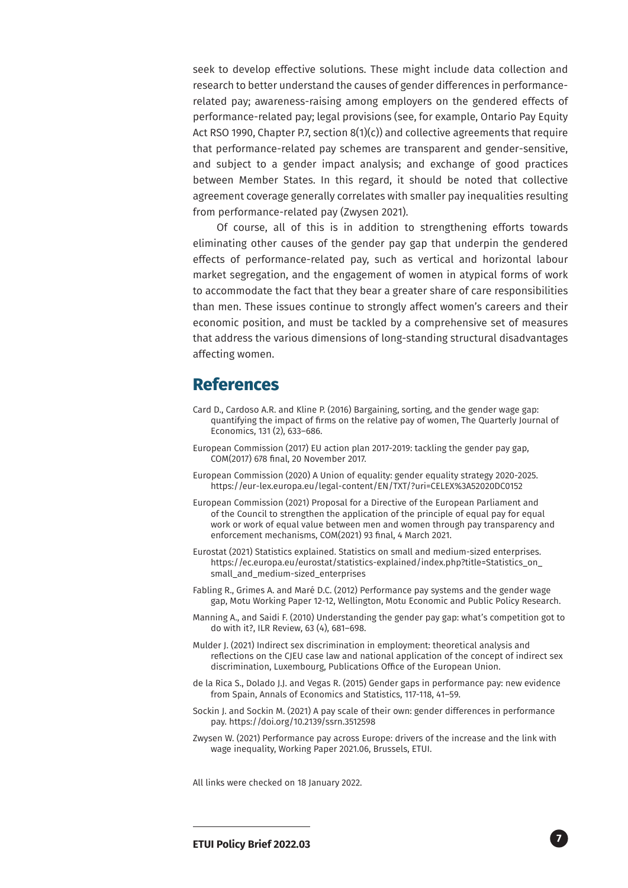seek to develop effective solutions. These might include data collection and research to better understand the causes of gender differences in performancerelated pay; awareness-raising among employers on the gendered effects of performance-related pay; legal provisions (see, for example, Ontario Pay Equity Act RSO 1990, Chapter P.7, section 8(1)(c)) and collective agreements that require that performance-related pay schemes are transparent and gender-sensitive, and subject to a gender impact analysis; and exchange of good practices between Member States. In this regard, it should be noted that collective agreement coverage generally correlates with smaller pay inequalities resulting from performance-related pay (Zwysen 2021).

Of course, all of this is in addition to strengthening efforts towards eliminating other causes of the gender pay gap that underpin the gendered effects of performance-related pay, such as vertical and horizontal labour market segregation, and the engagement of women in atypical forms of work to accommodate the fact that they bear a greater share of care responsibilities than men. These issues continue to strongly affect women's careers and their economic position, and must be tackled by a comprehensive set of measures that address the various dimensions of long-standing structural disadvantages affecting women.

#### **References**

- Card D., Cardoso A.R. and Kline P. (2016) Bargaining, sorting, and the gender wage gap: quantifying the impact of firms on the relative pay of women, The Quarterly Journal of Economics, 131 (2), 633–686.
- European Commission (2017) EU action plan 2017-2019: tackling the gender pay gap, COM(2017) 678 final, 20 November 2017.
- European Commission (2020) A Union of equality: gender equality strategy 2020-2025. https://eur-lex.europa.eu/legal-content/EN/TXT/?uri=CELEX%3A52020DC0152
- European Commission (2021) Proposal for a Directive of the European Parliament and of the Council to strengthen the application of the principle of equal pay for equal work or work of equal value between men and women through pay transparency and enforcement mechanisms, COM(2021) 93 final, 4 March 2021.
- Eurostat (2021) Statistics explained. Statistics on small and medium-sized enterprises. https://ec.europa.eu/eurostat/statistics-explained/index.php?title=Statistics\_on\_ small and medium-sized enterprises
- Fabling R., Grimes A. and Maré D.C. (2012) Performance pay systems and the gender wage gap, Motu Working Paper 12-12, Wellington, Motu Economic and Public Policy Research.
- Manning A., and Saidi F. (2010) Understanding the gender pay gap: what's competition got to do with it?, ILR Review, 63 (4), 681–698.
- Mulder J. (2021) Indirect sex discrimination in employment: theoretical analysis and reflections on the CJEU case law and national application of the concept of indirect sex discrimination, Luxembourg, Publications Office of the European Union.
- de la Rica S., Dolado J.J. and Vegas R. (2015) Gender gaps in performance pay: new evidence from Spain, Annals of Economics and Statistics, 117-118, 41–59.
- Sockin J. and Sockin M. (2021) A pay scale of their own: gender differences in performance pay. https://doi.org/10.2139/ssrn.3512598
- Zwysen W. (2021) Performance pay across Europe: drivers of the increase and the link with wage inequality, Working Paper 2021.06, Brussels, ETUI.

All links were checked on 18 January 2022.